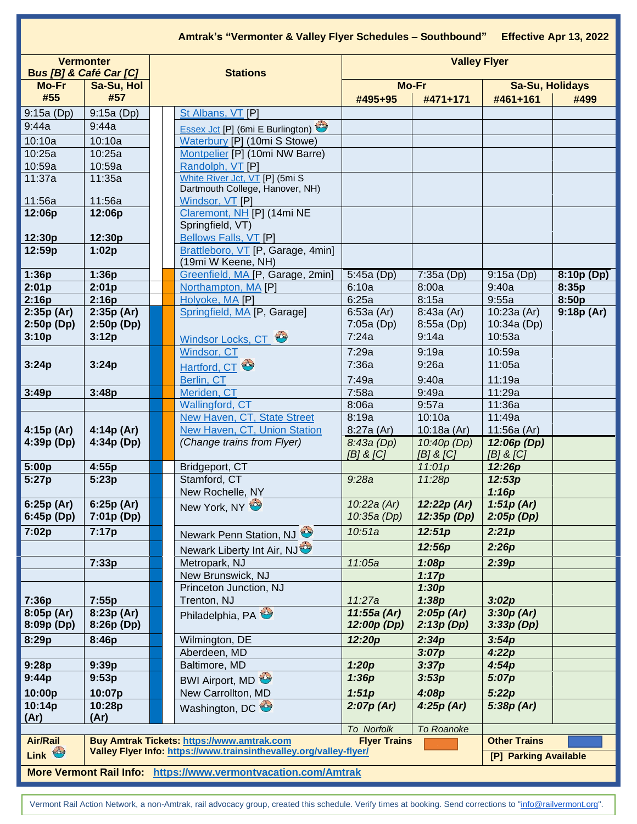| Amtrak's "Vermonter & Valley Flyer Schedules - Southbound" Effective Apr 13, 2022 |                |  |                                                                    |                       |                   |                     |            |  |  |  |  |  |
|-----------------------------------------------------------------------------------|----------------|--|--------------------------------------------------------------------|-----------------------|-------------------|---------------------|------------|--|--|--|--|--|
| <b>Vermonter</b><br><b>Bus [B] &amp; Café Car [C]</b>                             |                |  | <b>Stations</b>                                                    | <b>Valley Flyer</b>   |                   |                     |            |  |  |  |  |  |
| Mo-Fr                                                                             | Sa-Su, Hol     |  |                                                                    |                       | Mo-Fr             | Sa-Su, Holidays     |            |  |  |  |  |  |
| #55                                                                               | #57            |  |                                                                    | #495+95               | #471+171          | #461+161            | #499       |  |  |  |  |  |
| 9:15a(Dp)                                                                         | 9:15a(Dp)      |  | St Albans, VT [P]                                                  |                       |                   |                     |            |  |  |  |  |  |
| 9:44a                                                                             | 9:44a          |  | <b>Essex Jct [P] (6mi E Burlington)</b>                            |                       |                   |                     |            |  |  |  |  |  |
| 10:10a                                                                            | 10:10a         |  | Waterbury [P] (10mi S Stowe)                                       |                       |                   |                     |            |  |  |  |  |  |
| 10:25a                                                                            | 10:25a         |  | Montpelier [P] (10mi NW Barre)                                     |                       |                   |                     |            |  |  |  |  |  |
| 10:59a                                                                            | 10:59a         |  | Randolph, VT [P]                                                   |                       |                   |                     |            |  |  |  |  |  |
| 11:37a                                                                            | 11:35a         |  | White River Jct, VT [P] (5mi S                                     |                       |                   |                     |            |  |  |  |  |  |
|                                                                                   |                |  | Dartmouth College, Hanover, NH)                                    |                       |                   |                     |            |  |  |  |  |  |
| 11:56a                                                                            | 11:56a         |  | Windsor, VT [P]                                                    |                       |                   |                     |            |  |  |  |  |  |
| 12:06p                                                                            | 12:06p         |  | Claremont, NH [P] (14mi NE                                         |                       |                   |                     |            |  |  |  |  |  |
|                                                                                   |                |  | Springfield, VT)                                                   |                       |                   |                     |            |  |  |  |  |  |
| 12:30p                                                                            | 12:30p         |  | <b>Bellows Falls, VT [P]</b>                                       |                       |                   |                     |            |  |  |  |  |  |
| 12:59p                                                                            | 1:02p          |  | Brattleboro, VT [P, Garage, 4min]<br>(19mi W Keene, NH)            |                       |                   |                     |            |  |  |  |  |  |
| 1:36p                                                                             | 1:36p          |  | Greenfield, MA [P, Garage, 2min]                                   | 5:45a(Dp)             | 7:35a(Dp)         | 9:15a(Dp)           | 8:10p(Dp)  |  |  |  |  |  |
| 2:01p                                                                             | 2:01p          |  | Northampton, MA [P]                                                | 6:10a                 | 8:00a             | 9:40a               | 8:35p      |  |  |  |  |  |
| 2:16p                                                                             | 2:16p          |  | Holyoke, MA [P]                                                    | 6:25a                 | 8:15a             | 9:55a               | 8:50p      |  |  |  |  |  |
| 2:35p (Ar)                                                                        | 2:35p (Ar)     |  | Springfield, MA [P, Garage]                                        | 6:53a (Ar)            | 8:43a (Ar)        | 10:23a (Ar)         | 9:18p (Ar) |  |  |  |  |  |
| 2:50p(Dp)                                                                         | 2:50p(Dp)      |  |                                                                    | 7:05a(Dp)             | 8:55a (Dp)        | 10:34a (Dp)         |            |  |  |  |  |  |
| 3:10p                                                                             | 3:12p          |  | Windsor Locks, CT                                                  | 7:24a                 | 9:14a             | 10:53a              |            |  |  |  |  |  |
|                                                                                   |                |  | Windsor, CT                                                        | 7:29a                 | 9:19a             | 10:59a              |            |  |  |  |  |  |
| 3:24p                                                                             | 3:24p          |  | Hartford, CT                                                       | 7:36a                 | 9:26a             | 11:05a              |            |  |  |  |  |  |
|                                                                                   |                |  | Berlin, CT                                                         | 7:49a                 | 9:40a             | 11:19a              |            |  |  |  |  |  |
| 3:49p                                                                             | 3:48p          |  | Meriden, CT                                                        | 7:58a                 | 9:49a             | 11:29a              |            |  |  |  |  |  |
|                                                                                   |                |  | Wallingford, CT                                                    | 8:06a                 | 9:57a             | 11:36a              |            |  |  |  |  |  |
|                                                                                   |                |  | New Haven, CT, State Street                                        | 8:19a                 | 10:10a            | 11:49a              |            |  |  |  |  |  |
| 4:15p (Ar)                                                                        | 4:14p (Ar)     |  | New Haven, CT, Union Station                                       | 8:27a (Ar)            | 10:18a (Ar)       | 11:56a (Ar)         |            |  |  |  |  |  |
| 4:39p(Dp)                                                                         | 4:34p(Dp)      |  | (Change trains from Flyer)                                         | 8:43a (Dp)            | 10:40p(Dp)        | 12:06p(Dp)          |            |  |  |  |  |  |
|                                                                                   |                |  |                                                                    | $[B]$ & $[C]$         | $[B]$ & $[C]$     | $[B]$ & $[C]$       |            |  |  |  |  |  |
| 5:00p                                                                             | 4:55p          |  | Bridgeport, CT                                                     |                       | 11:01p            | 12:26p              |            |  |  |  |  |  |
| 5:27p                                                                             | 5:23p          |  | Stamford, CT                                                       | 9:28a                 | 11:28p            | 12:53p              |            |  |  |  |  |  |
|                                                                                   |                |  | New Rochelle, NY                                                   |                       |                   | 1:16p               |            |  |  |  |  |  |
| 6:25p (Ar)                                                                        | 6:25p (Ar)     |  | New York, NY                                                       | 10:22a (Ar)           | 12:22p (Ar)       | 1:51p (Ar)          |            |  |  |  |  |  |
| 6:45p (Dp)                                                                        | 7:01p (Dp)     |  |                                                                    | 10:35a (Dp)           | 12:35p(Dp)        | 2:05p(Dp)           |            |  |  |  |  |  |
| 7:02p                                                                             | 7:17p          |  | Newark Penn Station, NJ                                            | 10:51a                | 12:51p            | 2:21p               |            |  |  |  |  |  |
|                                                                                   |                |  | Newark Liberty Int Air, NJ                                         |                       | 12:56p            | 2:26p               |            |  |  |  |  |  |
|                                                                                   | 7:33p          |  | Metropark, NJ                                                      | 11:05a                | 1:08p             | 2:39p               |            |  |  |  |  |  |
|                                                                                   |                |  | New Brunswick, NJ                                                  |                       | 1:17p             |                     |            |  |  |  |  |  |
|                                                                                   |                |  | Princeton Junction, NJ                                             |                       | 1:30p             |                     |            |  |  |  |  |  |
| 7:36p                                                                             | 7:55p          |  | Trenton, NJ                                                        | 11:27a                | 1:38p             | 3:02p               |            |  |  |  |  |  |
| 8:05p (Ar)                                                                        | 8:23p (Ar)     |  | Philadelphia, PA                                                   | 11:55a (Ar)           | 2:05p (Ar)        | 3:30p (Ar)          |            |  |  |  |  |  |
| 8:09p (Dp)                                                                        | 8:26p (Dp)     |  |                                                                    | 12:00p (Dp)           | 2:13p(Dp)         | 3:33p(Dp)           |            |  |  |  |  |  |
| 8:29p                                                                             | 8:46p          |  | Wilmington, DE                                                     | 12:20p                | 2:34p             | 3:54p               |            |  |  |  |  |  |
|                                                                                   |                |  | Aberdeen, MD                                                       |                       | 3:07p             | 4:22p               |            |  |  |  |  |  |
| 9:28p<br>9:44p                                                                    | 9:39p<br>9:53p |  | Baltimore, MD                                                      | 1:20p<br>1:36p        | 3:37p<br>3:53p    | 4:54p<br>5:07p      |            |  |  |  |  |  |
|                                                                                   |                |  | BWI Airport, MD                                                    |                       |                   |                     |            |  |  |  |  |  |
| 10:00p                                                                            | 10:07p         |  | New Carrollton, MD                                                 | 1:51p                 | 4:08p             | 5:22p               |            |  |  |  |  |  |
| 10:14p<br>(Ar)                                                                    | 10:28p<br>(Ar) |  | Washington, DC                                                     | 2:07p (Ar)            | 4:25p (Ar)        | 5:38p (Ar)          |            |  |  |  |  |  |
|                                                                                   |                |  |                                                                    | To Norfolk            | <b>To Roanoke</b> |                     |            |  |  |  |  |  |
| <b>Air/Rail</b>                                                                   |                |  | <b>Buy Amtrak Tickets: https://www.amtrak.com</b>                  | <b>Flyer Trains</b>   |                   | <b>Other Trains</b> |            |  |  |  |  |  |
| Link                                                                              |                |  | Valley Flyer Info: https://www.trainsinthevalley.org/valley-flyer/ | [P] Parking Available |                   |                     |            |  |  |  |  |  |
|                                                                                   |                |  |                                                                    |                       |                   |                     |            |  |  |  |  |  |
|                                                                                   |                |  | More Vermont Rail Info: https://www.vermontvacation.com/Amtrak     |                       |                   |                     |            |  |  |  |  |  |

Vermont Rail Action Network, a non-Amtrak, rail advocacy group, created this schedule. Verify times at booking. Send corrections to ["info@railvermont.org".](mailto:info@railvermont.org)